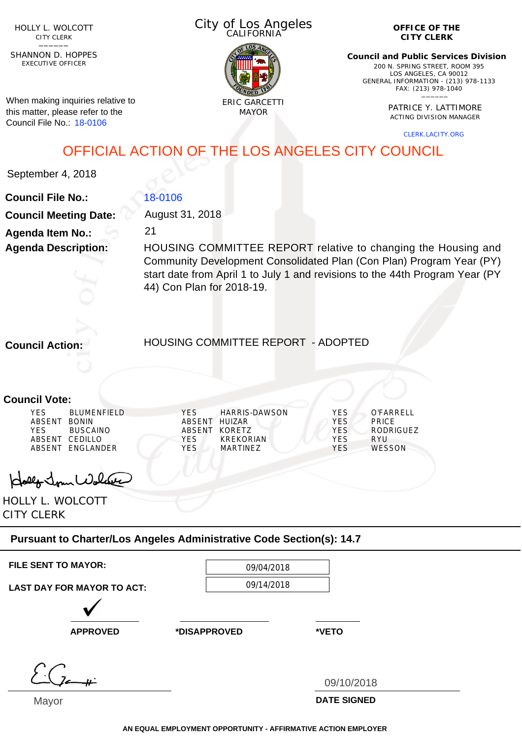HOLLY L. WOLCOTT CITY CLERK<br>—————

EXECUTIVE OFFICER SHANNON D. HOPPES

When making inquiries relative to this matter, please refer to the Council File No.: 18-0106

City of Los Angeles CALIFORNIA



**OFFICE OF THE CITY CLERK**

**Council and Public Services Division** 200 N. SPRING STREET, ROOM 395 LOS ANGELES, CA 90012 GENERAL INFORMATION - (213) 978-1133 FAX: (213) 978-1040 \_\_\_\_\_\_

> PATRICE Y. LATTIMORE ACTING DIVISION MANAGER

> > CLERK.LACITY.ORG

OFFICIAL ACTION OF THE LOS ANGELES CITY COUNCIL

September 4, 2018

## 18-0106

21

August 31, 2018

**Council File No.: Council Meeting Date: Agenda Item No.: Agenda Description:**

HOUSING COMMITTEE REPORT relative to changing the Housing and Community Development Consolidated Plan (Con Plan) Program Year (PY) start date from April 1 to July 1 and revisions to the 44th Program Year (PY 44) Con Plan for 2018-19.

**Council Action:**

HOUSING COMMITTEE REPORT - ADOPTED

## **Council Vote:**

Hollo Jour Wolder

HOLLY L. WOLCOTT CITY CLERK

## **Pursuant to Charter/Los Angeles Administrative Code Section(s): 14.7**

| <b>FILE SENT TO MAYOR:</b>        | 09/04/2018   |                    |  |
|-----------------------------------|--------------|--------------------|--|
| <b>LAST DAY FOR MAYOR TO ACT:</b> |              | 09/14/2018         |  |
|                                   |              |                    |  |
| <b>APPROVED</b>                   | *DISAPPROVED | *VETO              |  |
|                                   |              |                    |  |
|                                   |              | 09/10/2018         |  |
| Mayor                             |              | <b>DATE SIGNED</b> |  |

**AN EQUAL EMPLOYMENT OPPORTUNITY - AFFIRMATIVE ACTION EMPLOYER**